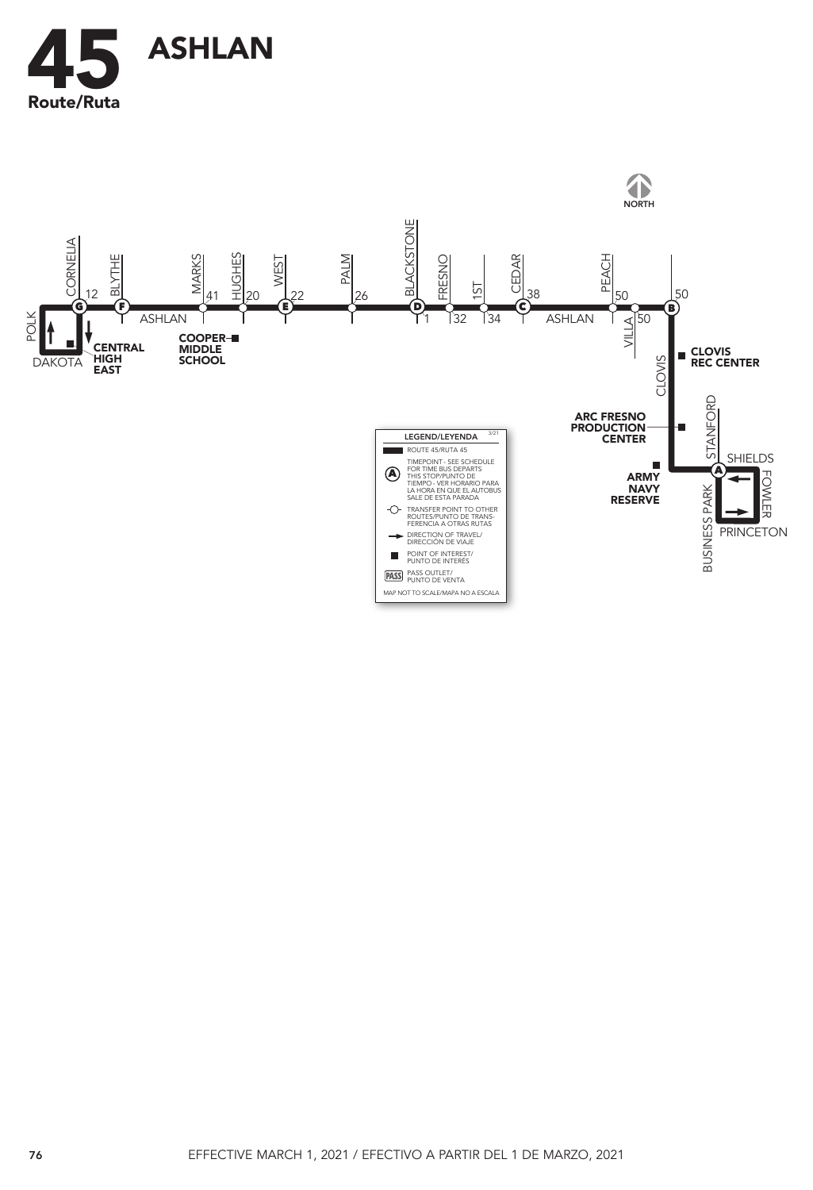

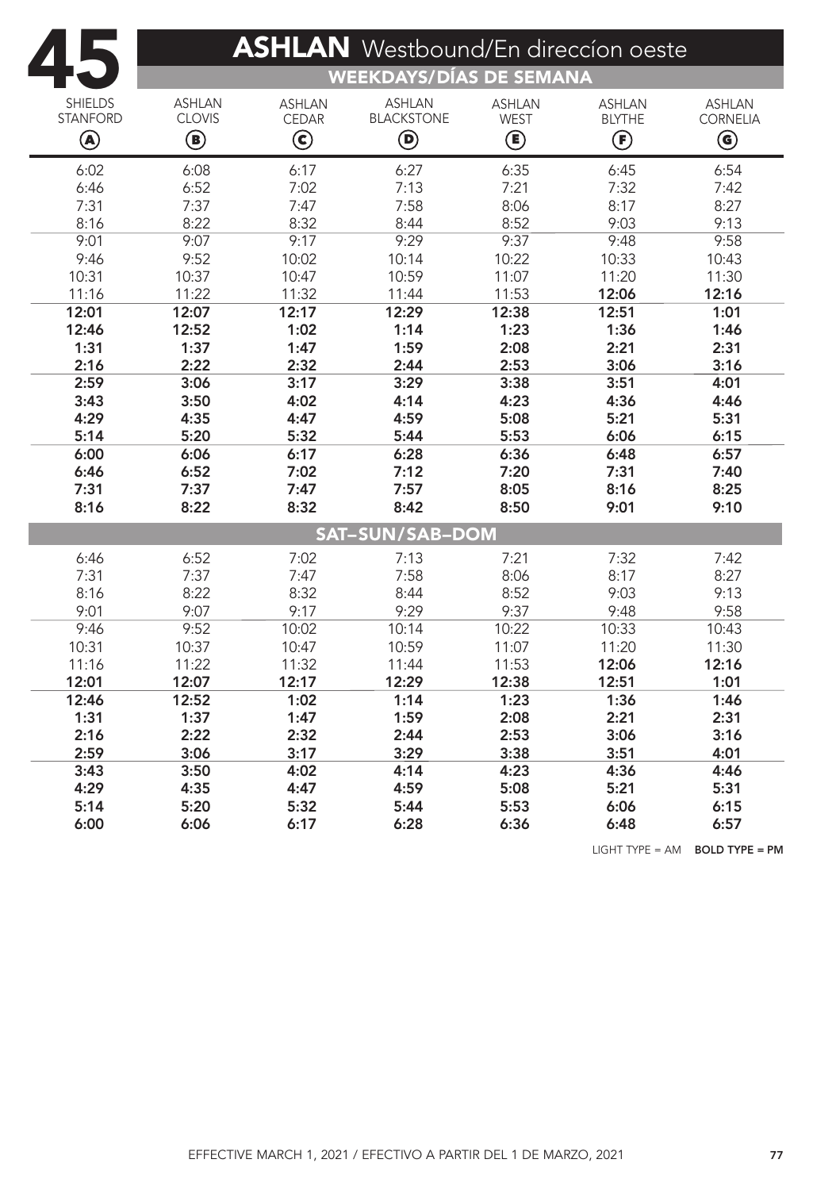|                 | <b>ASHLAN</b> Westbound/En direccion oeste<br><b>WEEKDAYS/DÍAS DE SEMANA</b> |               |                        |               |                |                        |  |  |  |  |  |
|-----------------|------------------------------------------------------------------------------|---------------|------------------------|---------------|----------------|------------------------|--|--|--|--|--|
| <b>SHIELDS</b>  | <b>ASHLAN</b>                                                                | <b>ASHLAN</b> | <b>ASHLAN</b>          | <b>ASHLAN</b> | <b>ASHLAN</b>  | <b>ASHLAN</b>          |  |  |  |  |  |
| <b>STANFORD</b> | <b>CLOVIS</b>                                                                | <b>CEDAR</b>  | <b>BLACKSTONE</b>      | <b>WEST</b>   | <b>BLYTHE</b>  | <b>CORNELIA</b>        |  |  |  |  |  |
| ◉               | $\circlede$                                                                  | $\bf{C}$      | $\bm \Theta$           | ◉             | $\bf{(\bf F)}$ | $\bm{\mathsf{\Theta}}$ |  |  |  |  |  |
| 6:02            | 6:08                                                                         | 6:17          | 6:27                   | 6:35          | 6:45           | 6:54                   |  |  |  |  |  |
| 6:46            | 6:52                                                                         | 7:02          | 7:13                   | 7:21          | 7:32           | 7:42                   |  |  |  |  |  |
| 7:31            | 7:37                                                                         | 7:47          | 7:58                   | 8:06          | 8:17           | 8:27                   |  |  |  |  |  |
| 8:16            | 8:22                                                                         | 8:32          | 8:44                   | 8:52          | 9:03           | 9:13                   |  |  |  |  |  |
| 9:01            | 9:07                                                                         | 9:17          | 9:29                   | 9:37          | 9:48           | 9:58                   |  |  |  |  |  |
| 9:46            | 9:52                                                                         | 10:02         | 10:14                  | 10:22         | 10:33          | 10:43                  |  |  |  |  |  |
| 10:31           | 10:37                                                                        | 10:47         | 10:59                  | 11:07         | 11:20          | 11:30                  |  |  |  |  |  |
| 11:16           | 11:22                                                                        | 11:32         | 11:44                  | 11:53         | 12:06          | 12:16                  |  |  |  |  |  |
| 12:01           | 12:07                                                                        | 12:17         | 12:29                  | 12:38         | 12:51          | 1:01                   |  |  |  |  |  |
| 12:46           | 12:52                                                                        | 1:02          | 1:14                   | 1:23          | 1:36           | 1:46                   |  |  |  |  |  |
| 1:31            | 1:37                                                                         | 1:47          | 1:59                   | 2:08          | 2:21           | 2:31                   |  |  |  |  |  |
| 2:16            | 2:22                                                                         | 2:32          | 2:44                   | 2:53          | 3:06           | 3:16                   |  |  |  |  |  |
| 2:59            | 3:06                                                                         | 3:17          | 3:29                   | 3:38          | 3:51           | 4:01                   |  |  |  |  |  |
| 3:43            | 3:50                                                                         | 4:02          | 4:14                   | 4:23          | 4:36           | 4:46                   |  |  |  |  |  |
| 4:29            | 4:35                                                                         | 4:47          | 4:59                   | 5:08          | 5:21           | 5:31                   |  |  |  |  |  |
| 5:14            | 5:20                                                                         | 5:32          | 5:44                   | 5:53          | 6:06           | 6:15                   |  |  |  |  |  |
| 6:00            | 6:06                                                                         | 6:17          | 6:28                   | 6:36          | 6:48           | 6:57                   |  |  |  |  |  |
| 6:46            | 6:52                                                                         | 7:02          | 7:12                   | 7:20          | 7:31           | 7:40                   |  |  |  |  |  |
| 7:31            | 7:37                                                                         | 7:47          | 7:57                   | 8:05          | 8:16           | 8:25                   |  |  |  |  |  |
| 8:16            | 8:22                                                                         | 8:32          | 8:42                   | 8:50          | 9:01           | 9:10                   |  |  |  |  |  |
|                 |                                                                              |               | <b>SAT-SUN/SAB-DOM</b> |               |                |                        |  |  |  |  |  |
| 6:46            | 6:52                                                                         | 7:02          | 7:13                   | 7:21          | 7:32           | 7:42                   |  |  |  |  |  |
| 7:31            | 7:37                                                                         | 7:47          | 7:58                   | 8:06          | 8:17           | 8:27                   |  |  |  |  |  |
| 8:16            | 8:22                                                                         | 8:32          | 8:44                   | 8:52          | 9:03           | 9:13                   |  |  |  |  |  |
| 9:01            | 9:07                                                                         | 9:17          | 9:29                   | 9:37          | 9:48           | 9:58                   |  |  |  |  |  |
| 9:46            | 9:52                                                                         | 10:02         | 10:14                  | 10:22         | 10:33          | 10:43                  |  |  |  |  |  |
| 10:31           | 10:37                                                                        | 10:47         | 10:59                  | 11:07         | 11:20          | 11:30                  |  |  |  |  |  |
| 11:16           | 11:22                                                                        | 11:32         | 11:44                  | 11:53         | 12:06          | 12:16                  |  |  |  |  |  |
| 12:01           | 12:07                                                                        | 12:17         | 12:29                  | 12:38         | 12:51          | 1:01                   |  |  |  |  |  |
| 12:46           | 12:52                                                                        | 1:02          | 1:14                   | 1:23          | 1:36           | 1:46                   |  |  |  |  |  |
| 1:31            | 1:37                                                                         | 1:47          | 1:59                   | 2:08          | 2:21           | 2:31                   |  |  |  |  |  |
| 2:16            | 2:22                                                                         | 2:32          | 2:44                   | 2:53          | 3:06           | 3:16                   |  |  |  |  |  |
| 2:59            | 3:06                                                                         | 3:17          | 3:29                   | 3:38          | 3:51           | 4:01                   |  |  |  |  |  |
| 3:43            | 3:50                                                                         | 4:02          | 4:14                   | 4:23          | 4:36           | 4:46                   |  |  |  |  |  |
| 4:29            | 4:35                                                                         | 4:47          | 4:59                   | 5:08          | 5:21           | 5:31                   |  |  |  |  |  |
| 5:14            | 5:20                                                                         | 5:32          | 5:44                   | 5:53          | 6:06           | 6:15                   |  |  |  |  |  |
| 6:00            | 6:06                                                                         | 6:17          | 6:28                   | 6:36          | 6:48           | 6:57                   |  |  |  |  |  |

LIGHT TYPE = AM BOLD TYPE = PM